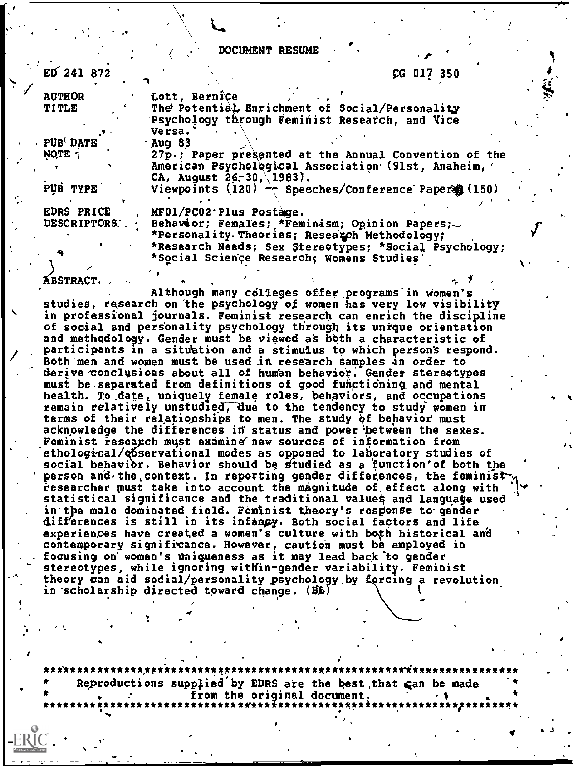DOCUMENT RESUME

 $L = \mathbb{R}$  . The set of  $L$ 

| ED 241 872            |                                                         | CG 017 350 |  |
|-----------------------|---------------------------------------------------------|------------|--|
| <b>AUTHOR</b>         | Lott, Bernice                                           |            |  |
| <b>TITLE</b>          | The Potential Enrichment of Social/Personality          |            |  |
|                       | Psychology through Feminist Research, and Vice          |            |  |
|                       | Versa.                                                  |            |  |
| PUB <sup>(DATE)</sup> | Aug 83                                                  |            |  |
| NOTE 1                | 27p.; Paper presented at the Annual Convention of the   |            |  |
|                       | American Psychological Association (91st, Anaheim,      |            |  |
|                       | CA, August $26-30 \wedge 1983$ .                        |            |  |
| PUB TYPE              | Viewpoints (120) $\div$ Speeches/Conference Paper (150) |            |  |
|                       |                                                         |            |  |
| EDRS PRICE            | MF01/PC02 Plus Postage.                                 |            |  |
| DESCRIPTORS.          | Behavior; Females; *Feminism; Opinion Papers;           |            |  |
|                       | *Personality Theories; Research Methodology;            |            |  |
|                       | *Research Needs; Sex Stereotypes; *Social Psychology;   |            |  |
|                       | *Social Science Research; Womens Studies'               |            |  |
|                       |                                                         |            |  |
| <b>ÁBSTRACT</b>       |                                                         |            |  |
|                       |                                                         |            |  |

Although many colleges offer programs in women's studies, research on the psychology of women has very low visibility in professional journals. Feminist research can enrich the discipline of social and pergonality psychology through its unique orientation and methodology. Gender must be viewed as both a characteristic of participants in a sitdation and a stimulus to which person's respond. Both men and women must be used in research samples in order to derive conclusions about all of human behavior. Gender stereotypes must be separated from definitions of good functioning and mental health. To date, uniquely female roles, behaviors, and occupations remain relatively unstudied; due to the tendency to study women in terms of their relationships to men. The study of behavior must acknowledge the differences in status and power between the sexes. Feminist research must examine new sources of information from ethological/observational modes as opposed to laboratory studies of social behavior. Behavior should be studied as a function'of both the person and the context. In reporting gender differences, the feminist researcher  $m$ ust take into account the magnitude of effect along with  $\,$ in the male dominated field. Feminist theory's response to gender statistical significance and the traditional values and language used differences is still in its infanpy. Both social factors and life experiences have created a women's culture with both historical and contemporary significance. However, caution must be employed in focusing on'women's Uniqueness as it may lead back"t0 gender stereotypes, while ignoring within-gender variability. Feminist theory can aid social/personality psychology by forcing a revolution in scholarship directed toward change. (BL)

\*\*\*\*\*\*\*\*\*\*\*\*\*\*\*\*\*\*\*\*\*\*\*\*\*\*\*\*\*\*\*\*\*\*\*\*\*\* Reproductions supplied by EDRS are the best that can be made from the original document.<br>\*\*\*\*\*\*\*\*\*\*\*\*\*\*\*\*\*\*\*\*\*\*\*\*\*\*\*\*

4

 $I = \{1, 2, \ldots, n\}$ 

 $\cdot$  -  $\cdot$ 

IMO

...

t

I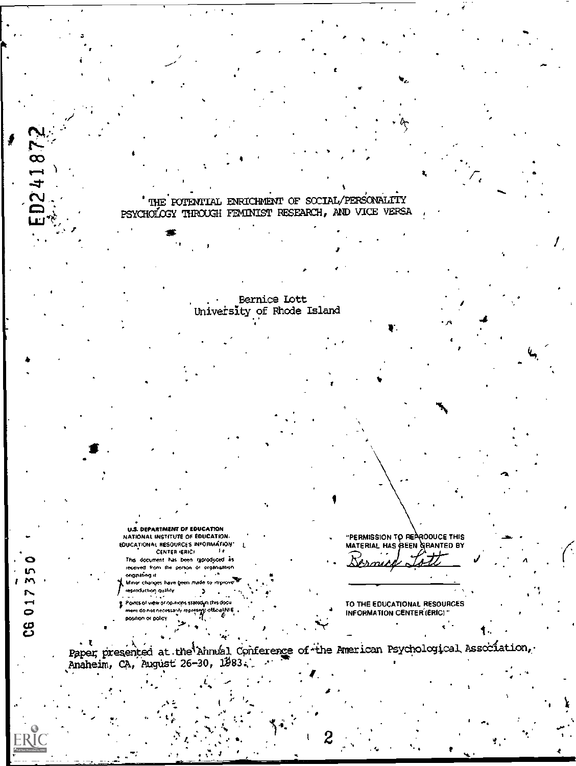

ERÍC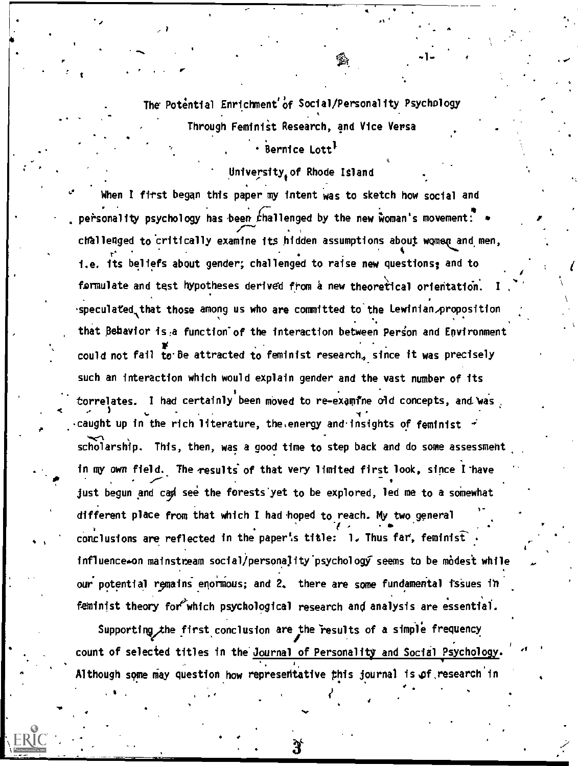The Potential Enrichment'of Social/Personality Psychology Through Feminist Research, and Vice Versa

' Bernice Lott<sup>1</sup>

University of Rhode Island

When I first began this paper my intent was to sketch how social and personality psychology has been challenged by the new woman's movement: \* challenged to critically examine its hidden assumptions about women and men, i.e. its beliefs about gender; challenged to raise new questions; and to formulate and test hypotheses derived from a new theoretical orientation. speculated that those among us who are committed to the Lewinian proposition that Behavior is a function of the interaction between Person and Environment could not fail to be attracted to feminist research, since it was precisely such an interaction which would explain gender and the vast number of its torrelates. I had certainly been moved to re-examine old concepts, and was caught up in the rich literature, the energy and insights of feminist + scholarship. This, then, was a good time to step back and do some assessment in my own field. The results of that very limited first look, since I have just begun and cad see the forests yet to be explored, led me to a somewhat different place from that which I had hoped to reach. My two general conclusions are reflected in the paper's title: 1. Thus far, feminist influence-on mainstream social/personality psychology seems to be modest while our potential remains enormous; and 2, there are some fundamental issues in feminist theory for which psychological research and analysis are essential.

Supporting the first conclusion are the results of a simple frequency count of selected titles in the Journal of Personality and Social Psychology Although some may question how representative this journal is of research in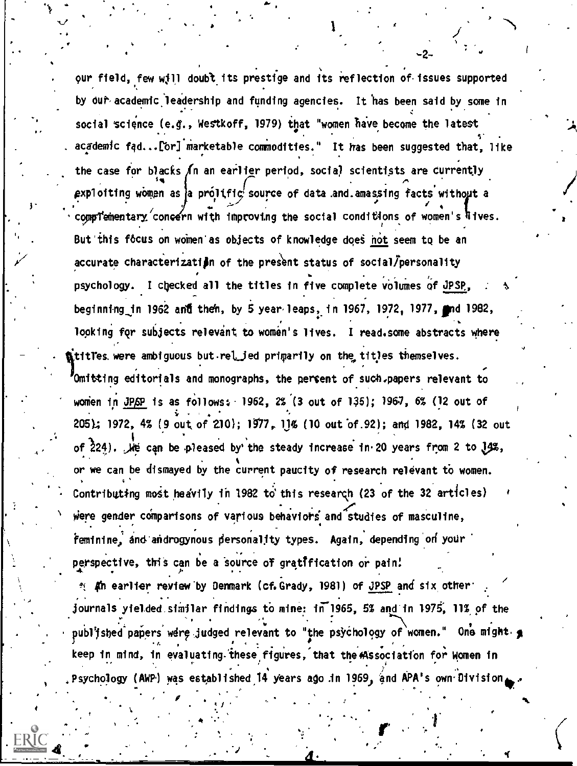our field, few will doubt its prestige and its reflection of issues supported by out academic leadership and funding agencies. It has been said by some in social science (e.g., Westkoff, 1979) that "women have become the latest academic fad...[or] marketable commodities." It has been suggested that, like the case for blacks In an earlier period, social scientists are currently exploiting women as a prolific source of data and amassing facts without a compTementary concern with improving the social conditions of women's lives. But this focus on women as objects of knowledge does not seem to be an accurate characterization of the present status of social/personality psychology. I checked all the titles in five complete volumes of JPSP, beginning in 1962 and then, by 5 year leaps, in 1967, 1972, 1977, and 1982, looking for subjects relevant to women's lives. I read.some abstracts where titles were ambiguous but rel jed primarily on the titles themselves. Omitting editorials and monographs, the percent of such papers relevant to women in JPSP is as follows: 1962, 2% (3 out of 135); 1967, 6% (12 out of 205); 1972, 4% (9 out of 210); 1977, 11% (10 out of 92); and 1982, 14% (32 out of 224). We can be pleased by the steady increase in 20 years from 2 to 14%, or we can be dismayed by the current paucity of research relevant to women. Contributing most heavily in 1982 to this research (23 of the 32 articles) were gender comparisons of various behaviors and studies of masculine, feminine, and androgynous personality types. Again, depending on your perspective, this can be a source of gratification or pain! <sup>2</sup> An earlier review by Demmark (cf.Grady, 1981) of JPSP and six other: journals yielded similar findings to mine: in 1965, 5% and in 1975, 11% of the publ'ished papers were judged relevant to "the psychology of women." One might g keep in mind, in evaluating these figures, that the Association for Women in

Psychology (AWP) was established 14 years ago in 1969, and APA's own Division.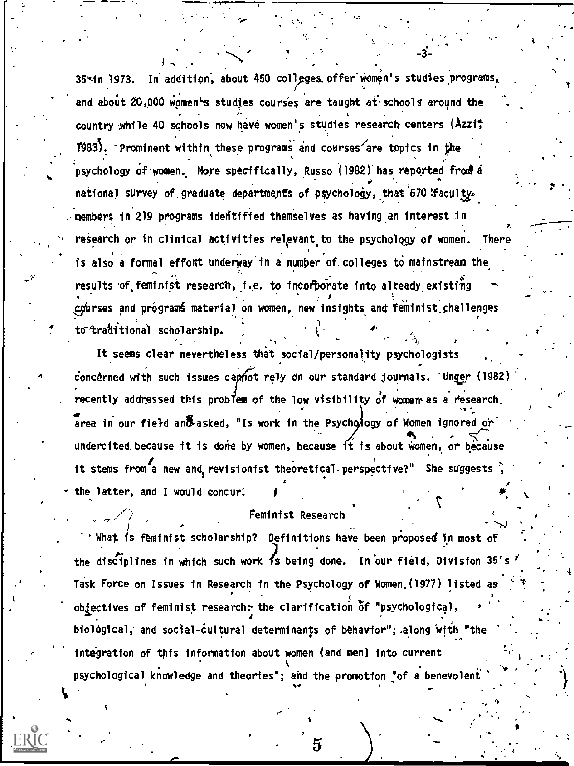35-in 1973. In addition, about 450 colleges offer women's studies programs, and about 20,000 women's studies courses are taught at schools around the country while 40 schools now have women's studies research centers (Azzit. T983). Prominent within these programs and courses are topics in the psychology of women. More specifically, Russo (1982) has reported from a national survey of graduate departments of psychology, that 670 faculty. members in 219 programs identified themselves as having an interest in research or in clinical activities relevant to the psychology of women. Ther is also a formal effort underway in a number of colleges to mainstream the results of feminist research, i.e. to incorporate into already existing courses and programs material on women, new insights and feminist challenges to traditional scholarship.

It seems clear nevertheless that social/personality psychologists concerned with such issues capnot rely on our standard journals. 'Unger (1982) recently addressed this problem of the low visibility of women as a research. area in our field and asked, "Is work in the Psychology of Women ignored or undercited because it is done by women, because it is about women, or because it stems from a new and revisionist theoretical perspective?" She suggests the latter, and I would concur.

## Feminist Research

: What is feminist scholarship? Definitions have been proposed in most of the disciplines in which such work is being done. In our field, Division 35's Task Force on Issues in Research in the Psychology of Women (1977) listed as objectives of feminist research: the clarification of "psychological, biological, and social-cultural determinants of behavior"; along with "the integration of this information about women (and men) into current psychological knowledge and theories"; and the promotion "of a benevolent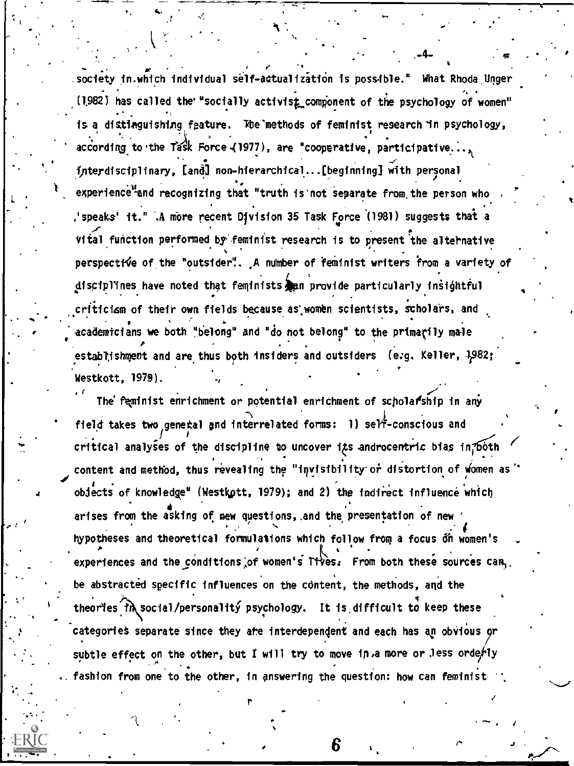society in which individual self-actualization is possible." What Rhoda Unger (1982) has called the "socially activist component of the psychology of women" is a distinguishing feature. The methods of feminist research in psychology, according to the Task Force (1977), are "cooperative, participative... interdisciplinary, [and] non-hierarchical... [beginning] with personal experience and recognizing that "truth is not separate from the person who speaks' it." A more recent Division 35 Task Force (1981) suggests that a', vital function performed by feminist research is to present the alternative perspective of the "outsider". A number of feminist writers from a variety of disciplines have noted that feminists an provide particularly insightful criticism of their own fields because as women scientists, scholars, and academicians we both "belong" and "do not belong" to the primarily male establishment and are thus both insiders and outsiders (e.g. Keller, 1982; Westkott, 1979).

The feminist enrichment or potential enrichment of scholarship in any field takes two general and interrelated forms: 1) self-conscious and critical analyses of the discipline to uncover its androcentric bias in both content and method, thus revealing the "invisibility or distortion of women as" objects of knowledge" (Westkott, 1979); and 2) the indirect influence which arises from the asking of new questions, and the presentation of new hypotheses and theoretical formulations which follow from a focus on women's experiences and the conditions of women's Tives. From both these sources can. be abstracted specific influences on the content, the methods, and the theories th social/personality psychology. It is difficult to keep these categories separate since they are interdependent and each has an obvious or subtle effect on the other, but I will try to move in a more or less orderly fashion from one to the other, in answering the question: how can feminist

6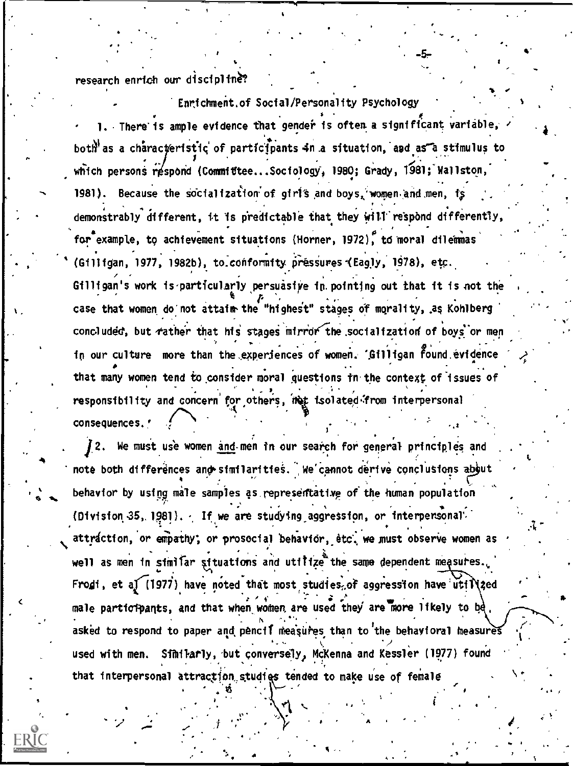research enrich our discipline?

Enrichment.of Social/Personality Psychology 1. There is ample evidence that gender is often a significant variable, both as a characteristic of participants in a situation, and as a stimulus to which persons respond (Committee...Sociology, 1980; Grady, 1981; Wallston, 1981). Because the socialization of girls and boys, women and men, is demonstrably different, it is predictable that they will respond differently, for example, to achievement situations (Horner, 1972), to moral dilemmas (Gilligan, 1977, 1982b), to conformity pressures (Eagly, 1978), etc. Gilligan's work is particularly persuasive in pointing out that it is not the case that women do not attaim the "highest" stages of morality, as Kohlberg concluded, but rather that his stages mirror the socialization of boys or men in our culture more than the experiences of women. 'Gilligan found evidence that many women tend to consider moral questions in the context of issues of responsibility and concern for others, met isolated from interpersonal consequences.'

12. We must use women and men in our search for general principles and note both differences and similarities. We cannot derive conclusions about behavior by using male samples as representative of the human population (Division 35, 1981). If we are studying aggression, or interpersonal attraction, or empathy; or prosocial behavior, etc. we must observe women as well as men in simitar situations and utilize the same dependent measures. Frodi, et a) (1977) have noted that most studies, of aggression have utillized male participants, and that when women are used they are more likely to be. asked to respond to paper and pencil measures than to the behavioral measures used with men. Similarly, but conversely, McKenna and Kessler (1977) found that interpersonal attraction studies tended to make use of female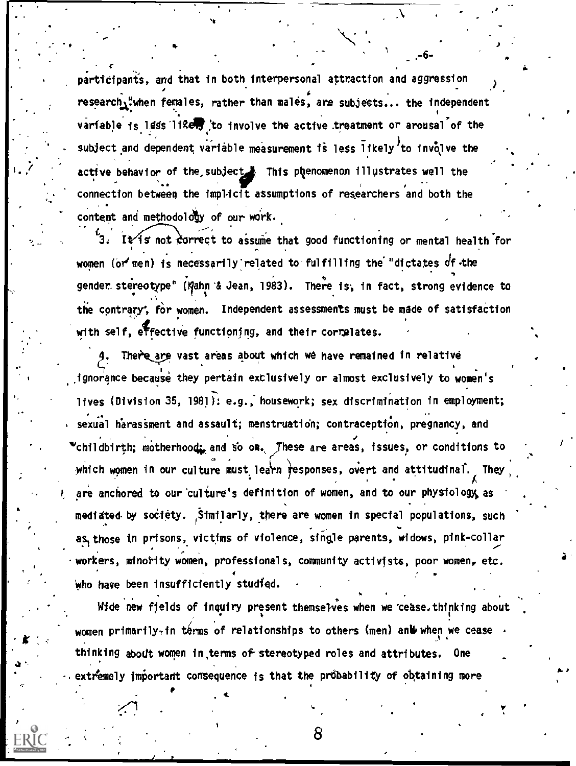participants, and that in both interpersonal attraction and aggression research,"when females, rather than males, are subjects... the independent variable is less like to involve the active treatment or arousal of the subject and dependent variable measurement is less likely to involve the active behavior of the subject. This phenomenon illustrates well the connection between the implicit assumptions of researchers and both the content and methodology of our work.

It is not correct to assume that good functioning or mental health for women (or men) is necessarily related to fulfilling the "dictates of the gender stereotype" (Kahn & Jean, 1983). There is, in fact, strong evidence to the contrary, for women. Independent assessments must be made of satisfaction with self, effective functioning, and their correlates.

There are vast areas about which we have remained in relative ignorance because they pertain exclusively or almost exclusively to women's lives (Division 35, 1981): e.g., housework; sex discrimination in employment; sexual harassment and assault; menstruation; contraception, pregnancy, and \*childbirth; motherhood: and so on. These are areas, issues, or conditions to which women in our culture must learn responses, overt and attitudinal. **They** are anchored to our culture's definition of women, and to our physiology as mediated by society. Similarly, there are women in special populations, such as those in prisons, victims of violence, single parents, widows, pink-collar workers, minority women, professionals, community activists, poor women, etc. who have been insufficiently studied.

Wide new fields of inquiry present themselves when we cease. thinking about women primarily in terms of relationships to others (men) and when we cease  $\rightarrow$ thinking about women in terms of stereotyped roles and attributes. One extremely important consequence is that the probability of obtaining more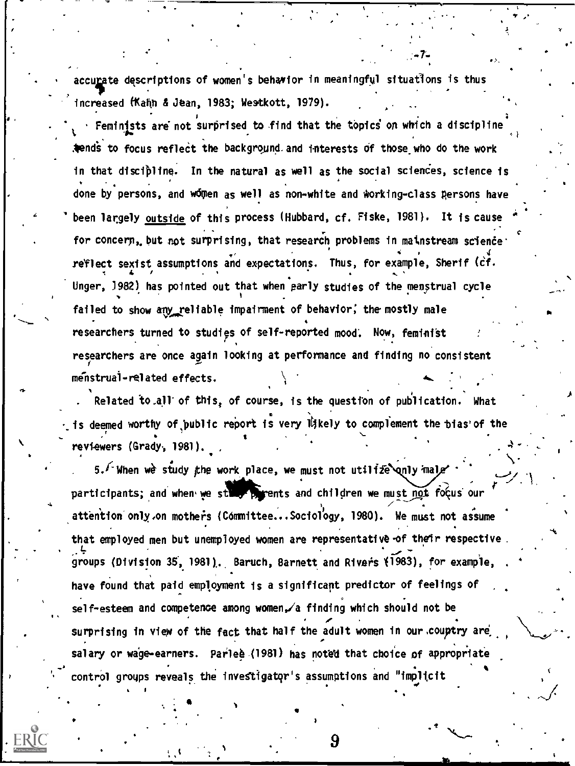accurate descriptions of women's behavior in meaningful situations is thus increased (Kahn & Jean, 1983; Westkott, 1979).

Feminists are not surprised to find that the topics on which a discipline tends to focus reflect the background and interests of those who do the work in that discipline. In the natural as well as the social sciences, science is done by persons, and women as well as non-white and working-class persons have been largely outside of this process (Hubbard, cf. Fiske, 1981). It is cause for concern, but not surprising, that research problems in mainstream science reflect sexist assumptions and expectations. Thus, for example, Sherif (cf. Unger, 1982) has pointed out that when early studies of the menstrual cycle failed to show any reliable impairment of behavior, the mostly male researchers turned to studies of self-reported mood. Now, feminist researchers are once again looking at performance and finding no consistent menstrual-related effects.

. Related to all of this, of course, is the question of publication. What is deemed worthy of public report is very likely to complement the bias of the reviewers (Grady, 1981).

5. When we study the work place, we must not utilize anly mal participants; and when we still parents and children we must not focus our attention only on mothers (Committee...Sociology, 1980). We must not assume that employed men but unemployed women are representative of their respective. groups (Division 35, 1981). Baruch, Barnett and Rivers (1983), for example, have found that paid employment is a significant predictor of feelings of self-esteem and competence among women, a finding which should not be surprising in view of the fact that half the adult women in our couptry are salary or wage-earners. Parlee (1981) has noted that choice of appropriate control groups reveals the investigator's assumptions and "implicit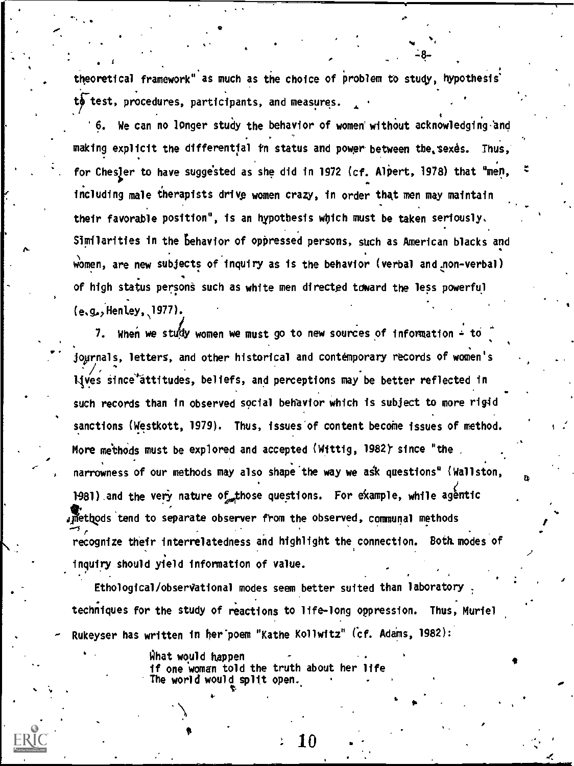theoretical framework" as much as the choice of problem to study, hypothesis' to test, procedures, participants, and measures.

6. We can no longer study the behavior of women' without acknowledging -and making explicit the differential in status and power between the sexes. Thus, for ChesJer to have suggested as she did in 1972 (cf. Alpert, 1978) that <sup>u</sup>men, including male therapists drive women crazy, in order that men may maintain their favorable position", is an hypothesis which must be taken seriously. Similarities in the behavior of oppressed persons, such as American blacks and women, are new subjects of inquiry as is the behavior (verbal and non-verbal) of high status persons such as white men directed toward the less powerful (e.g..,Hentey,1977).

fo-

7. When we study women we must go to new sources of information  $\div$  to josrnals, letters, and other historical and contemporary records of women's lives since attitudes, beliefs, and perceptions may be better reflected in such records than in observed social behavior which is subject to more rigid sanctions (Westkott, 1979). Thus, issues of content become issues of method. More methods must be explored and accepted (Wittig, 1982) since "the narrowness of our methods may also shape the way we ask questions" (Wellston, 1981) and the very nature of those questions. For example, while agentic jetivds'tend to separate observer from the observed, communal methods recognize their interrelatedness and highlight the connection. Both modes of inquiry should yield information of value.

Ethological /observational modes seem better suited than laboratory : techniques for the study of reactions to life-long oppression. Thus, Muriel Rukeyser has written in her poem "Kathe Kollwitz" (cf. Adams, 1982):

;<br>;

9

What would happen if one women told the truth about her life The world would split open. .

the company of the company of the company of the company of the company of the company of the company of the company of the company of the company of the company of the company of the company of the company of the company

 $\bullet$  0.000  $\bullet$ 

 $10\:$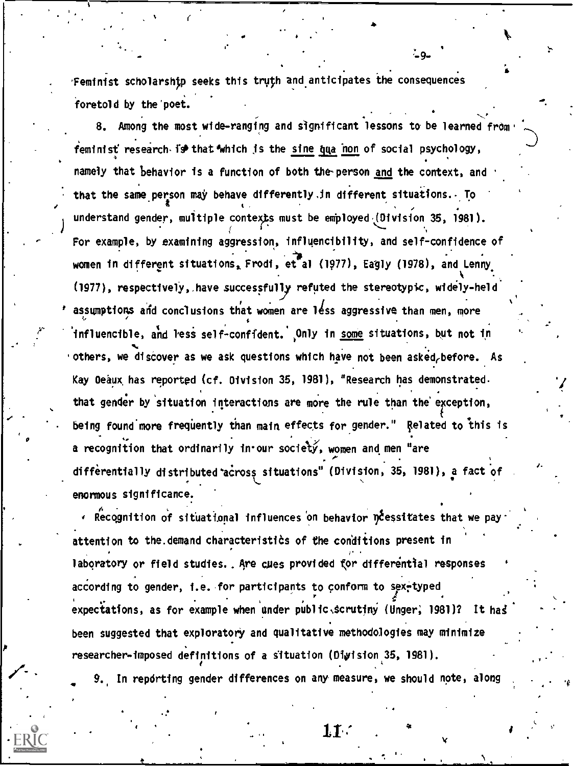Feminist scholarship seeks this truth and anticipates the consequences foretold by the'poet.

, 41 (1982).

8. Among the most wide-ranging and significant lessons to be learned from feminist research is that which is the sine qua non of social psychology, 4 namely that behavior is a function of both the-person and the context, and that the same person may behave differently in different situations. To understand gender, multiple contexts must be employed (Division 35, 1981). For example, by examining aggression, influencibility, and self-confidence of women in different situations, Frodi, et al (1977), Eagly (1978), and Lenny, (1977), respectively,.have successfuly refuted the stereotypic, widely-held assumptions and conclusions that women are less aggressive than men, more influencible, and less self-confident. Only in <u>some</u> situations, but not in 'others, we discover as we ask questions which have not been asked, before. As Kay Beaux has reported (cf. Division 35, 1981), "Research has demonstrated. that gender by situation interactions are more the rule than the exception, being found more frequently than main effects for gender." Related to this is a recognition that ordinarily in our society, women and men "are differentially distributed across situations" (Division, 35, 1981), a fact of enormous significance.

°

ARecognition of situational influences on behavior DCessitates that we payattention to the demand characteristics of the conditions present in laboratory or field studies.. Are cues provided for differential responses according to gender, i.e. for participants to conform to sex-typed expectations, as for example when under public. scrutiny (Unger, 1981)? It has been suggested that exploratory and qualitative methodologies may minimize researcher-imposed definitions of a situation (Digision 36, 1981).

9. In reporting gender differences on any measure, we should note, along

 ${\bf 11}$  .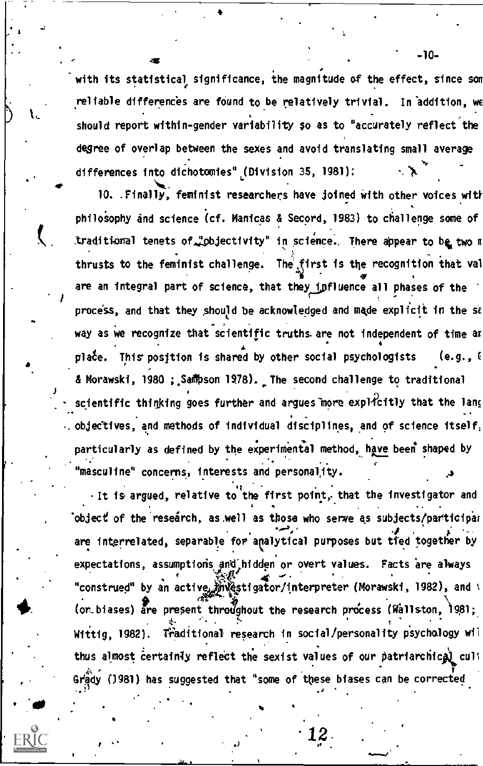with its statistical significance, the magnitude of the effect, since son reliable differences are found to be relatively trivial. In addition, we should report within-gender variability so as to "accurately reflect the degree of overlap between the sexes and avoid translating small average differences into dichotomies" (Division 35, 1981):

10. .Finally, feminist researchers have joined with other voices with philosophy and science (cf. Manicas & Secord, 1983) to challenge some of traditional tenets of "objectivity" in science. There appear to be two m thrusts to the feminist challenge. The first is the recognition that val are an integral part of science, that they influence all phases of the process, and that they should be acknowledged and made explicit in the sa way as we recognize that scientific truths. are not independent of time at  $\bullet$  and  $\bullet$ plate. This position is shared by other social psychologists (e.g.,  $6$ & Morawski, 1980 ; Sampson 1978). The second challenge to traditional scientific thinking goes further and argues more explicitly that the lang . objectives, and methods of individual disciplines, and of science itself. , particularly as defined by the experimental method, have been shaped by  $\mathcal{L}_{\mathcal{A}}$  , ..., , ..., , ..., , ..., , ..., , ..., , ..., , ..., , ..., , ..., , ..., , ..., , ..., , ..., , ..., , ..., , ..., , ..., , ..., , ..., , ..., , ..., , ..., , ..., , ..., , ..., , ..., , ..., , ..., , . "masculine" concerns, interests and personality.

.

4

Il a Constitution of the Constitution of the Constitution of the Constitution of the Constitution of the Constitution of the Constitution of the Constitution of the Constitution of the Constitution of the Constitution of t It is argued, relative to the first point, that the investigator and 'object of the research, as well as those who serve as subjects/participar  $\mathcal{F}$  . The set of  $\mathcal{F}$ are interrelated, separable for analytical purposes but tied together by expectations, assumptions and hidden or overt values. Facts are always  $\mathbf{A}$  and  $\mathbf{A}$ "construed" by an active *i*nvestiga 11-4 of Morawski, 1982), and  $\ell$ (or biases) are present throughout the research process (Wallston,  $1981$ ; . . Wittig, 1982). Wraditional research in social/personality psychology wil thus almost certainly reflect the sexist values of our patriarchical cull Grady (J981) has suggested that "some of these biases can be corrected

 $\mathcal{O}(n^2)$ 

12.

-10-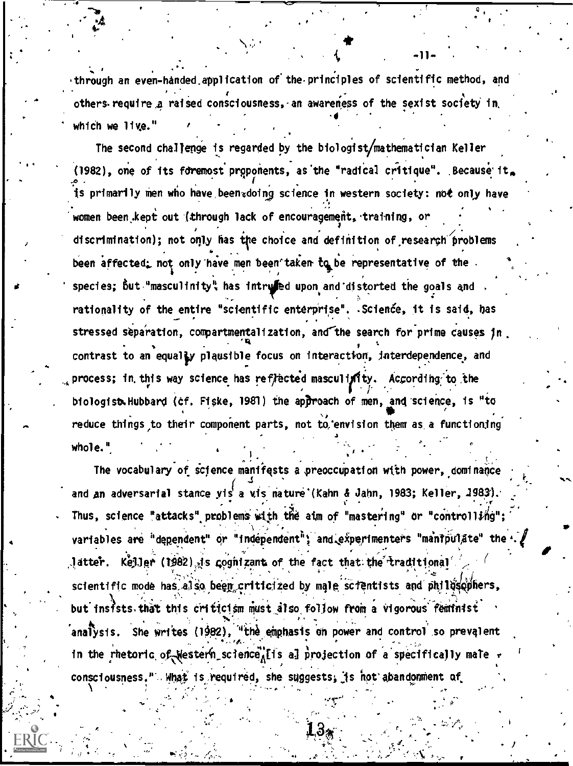through an even-handed application of the principles of scientific method, and others require a raised consciousness, an awareness of the sexist society in which we live."

The second challenge is regarded by the biologist/mathematician Keller (1982), one of its foremost proponents, as the "radical critique". Because it. is primarily men who have been doing science in western society: not only have women been kept out (through lack of encouragement, training, or discrimination); not only has the choice and definition of research problems been affected; not only have men been taken to be representative of the. species; but "masculinity" has intrufed upon and distorted the goals and rationality of the entire "scientific enterprise". Science, it is said, has stressed separation, compartmentalization, and the search for prime causes in contrast to an equally plausible focus on interaction, interdependence, and process; in this way science has reflected masculinity. According to the biologist Hubbard (cf. Fiske, 1981) the approach of men, and science, is "to reduce things to their component parts, not to envision them as a functioning whole."

The vocabulary of science manifests a preoccupation with power, dominance and an adversarial stance yis a vis nature (Kahn & Jahn, 1983; Keller, 1983). Thus, science "attacks" problems with the aim of "mastering" or "controlling"; variables are "dependent" or "independent"; and experimenters "manipulate" the  $\mathcal{A}$ Jatter. Kejler (1982) is cognizant of the fact that the traditional scientific mode has also been criticized by male scientists and philosophers, but insists that this criticism must also follow from a vigorous feminist analysis. She writes (1982), "the emphasis on power and control so prevalent in the rhetoric of Western science, is al projection of a specifically male consciousness." What is required, she suggests, is not abandomment of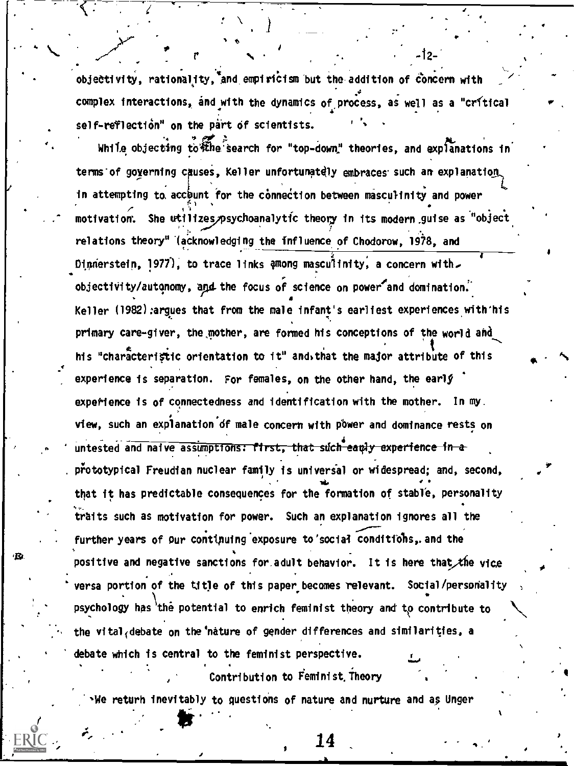objectivity, rationality, and empiricism but the addition of concern with complex interactions, and with the dynamics of process, as well as a "crítical self-reflection<sup>"</sup> on the part of scientists.

While objecting to the search for "top-down" theories, and explanations in terms of governing causes. Keller unfortunately embraces such an explanation in attempting to account for the connection between masculinity and power motivation. She utilizes psychoanalytic theory in its modern guise as "object relations theory" (acknowledging the influence of Chodorow, 1978, and Dinnerstein, 1977), to trace links among masculinity, a concern with. objectivity/autonomy, and the focus of science on power and domination. Keller (1982) argues that from the male infant's earliest experiences with his primary care-giver, the mother, are formed his conceptions of the world and his "characteristic orientation to it" and that the major attribute of this experience is separation. For females, on the other hand, the early experience is of connectedness and identification with the mother. In my. view, such an explanation of male concern with power and dominance rests on untested and naive assumptions: first, that such early experience in a prototypical Freudian nuclear family is universal or widespread; and, second, that it has predictable consequences for the formation of stable, personality traits such as motivation for power. Such an explanation ignores all the further years of our continuing exposure to social conditions, and the positive and negative sanctions for adult behavior. It is here that the vice versa portion of the title of this paper becomes relevant. Social/personality psychology has the potential to enrich feminist theory and to contribute to the vital debate on the nature of gender differences and similarities, a debate which is central to the feminist perspective.

Contribution to Feminist Theory

We returh inevitably to questions of nature and nurture and as Unger

٠R

14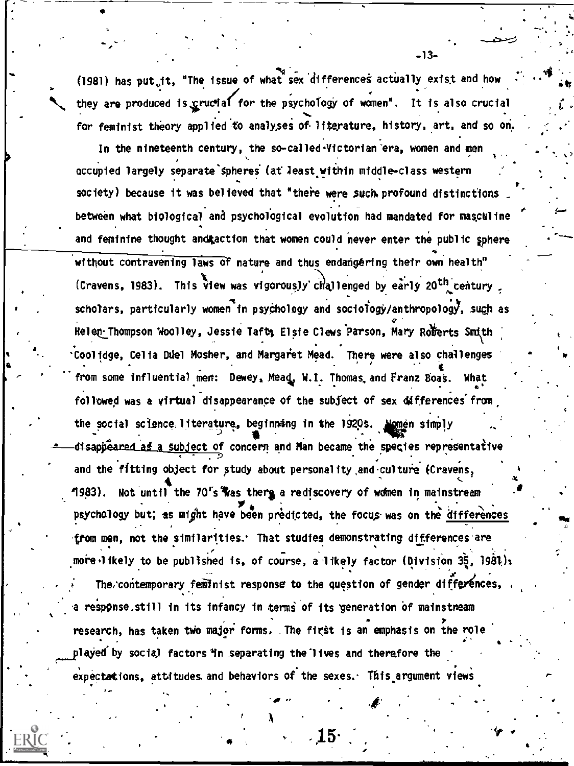(1981) has put it, "The issue of what sex differences actually exist and how they are produced is crucial for the psychology of women". It is also crucial for feminist theory applied to analyses of literature, history, art, and so on.

In the nineteenth century, the so-called Victorian era, women and men occupied largely separate spheres (at least within middle-class western society) because it was believed that "there were such profound distinctions between what biological and psychological evolution had mandated for masculine and feminine thought and action that women could never enter the public sphere without contravening laws of nature and thus endangering their own health" (Cravens, 1983). This view was vigorously challenged by early 20<sup>th</sup> century. scholars, particularly women in psychology and sociology/anthropology, such as Helen Thompson Woolley, Jessie Taft, Elsie Clews Parson, Mary Roberts Smith Coolidge, Celia Duel Mosher, and Margaret Mead. There were also challenges from some influential men: Dewey, Mead, W.I. Thomas and Franz Boas. What followed was a virtual disappearance of the subject of sex differences from the social science. literature, beginning in the 1920s. Momen simply disappeared as a subject of concern and Man became the species representative and the fitting object for study about personality and culture (Cravens, 1983). Not until the 70's was there a rediscovery of women in mainstream psychology but; as might have been predicted, the focus was on the differences from men, not the similarities. That studies demonstrating differences are more likely to be published is, of course, a likely factor (Division 35, 1981); The contemporary feminist response to the question of gender differences. a response still in its infancy in terms of its generation of mainstneam research, has taken two major forms. The first is an emphasis on the role played by social factors in separating the lives and therefore the expectations, attitudes and behaviors of the sexes. This argument views

 $-13-$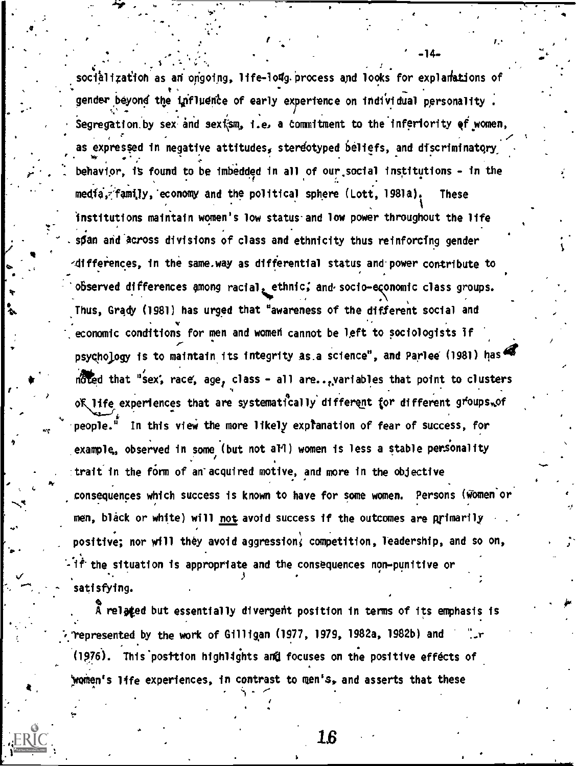socialization as an ongoing, life-long process and looks for explanations of gender beyond the influence of early experience on individual personality. Segregation by sex and sextsm, i.e. a commitment to the inferiority of women, as expressed in negative attitudes, stereotyped beliefs, and discriminatory behavior, is found to be imbedded in all of our social institutions - in the media, family, economy and the political sphere (Lott, 1981a). **These** institutions maintain women's low status and low power throughout the life span and across divisions of class and ethnicity thus reinforcing gender differences, in the same.way as differential status and power contribute to observed differences among racial, ethnic, and socio-economic class groups. Thus, Grady (1981) has urged that "awareness of the different social and economic conditions for men and women cannot be left to sociologists if psychology is to maintain its integrity as a science", and Parlee (1981) has noted that "sex, race, age, class - all are... variables that point to clusters of life experiences that are systematically different for different groups, of people.<sup>5</sup> In this view the more likely expranation of fear of success, for example, observed in some (but not all) women is less a stable personality trait in the form of an acquired motive, and more in the objective consequences which success is known to have for some women. Persons (Women or men, black or white) will not avoid success if the outcomes are primarily positive; nor will they avoid aggression, competition, leadership, and so on, if the situation is appropriate and the consequences non-punitive or satisfying.

 $-14-$ 

A related but essentially divergent position in terms of its emphasis is represented by the work of Gilligan (1977, 1979, 1982a, 1982b) and (1976). This posttion highlights and focuses on the positive effects of women's life experiences, in contrast to men's, and asserts that these

16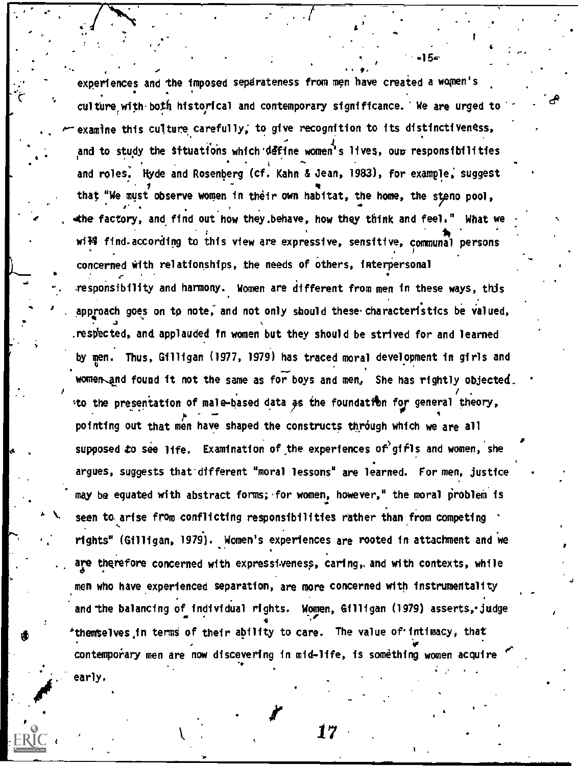experiences and the imposed sepdrateness from men have created a women's culture with-both historical and contemporary significance. We are urged to examine this cu'ture carefully, to give recognition to its distinctiveness, and to study the Situations which define women's lives, our responsibilities and roles. Hyde and Rosenberg (cf. Kahn & Jean, 1983), for example; suggest that "We must observe women in their own habitat, the home, the steno pool, wthe factory, and find out how they.behave, how they think and feels" What we r 14 de jaro - Antonio Antonio Antonio Antonio Antonio Antonio Antonio Antonio Antonio Antonio Antonio Antonio wi<del>ll</del> find-according to this view are expressive, sensitive, communal persons concerned with relationships, the needs of Others, interpersonal responsibility and harmony. Women are different from men in these ways, this A 4 of approach goes on to note, and not only should these characteristics be valued, A \ seen to arise from conflicting responsibilities rather than from competing \ respected, and applauded in women but they should be strived for and learned by men. Thus, Gilligan (1977, 1979) has traced moral development in girls and women and found it not the same as for boys and men, She has rightly objected. to the presentation of male-based data as the foundation for general theory, pointing out that men have shaped the constructs through which we are all supposed to see life. Examination of the experiences of gifls and women, she argues, suggests that-different "moral lessons" are learned. For men, justice may be equated with abstract forms; for women, however," the moral problem is rights" (Gilligan, 1979). Women's experiences are rooted in attachment and we are therefore concerned with expressiveness, caring,. and with contexts, while men who have experienced separation, are more concerned with instrumentality and the balancing of individual rights. Women, Gilligan (1979) asserts, judge  $\qquad \qquad ,$ \*themselves in terms of their ability to care. The value of intimacy, that  $\bullet$  . The set of  $\bullet$ contemporary men are now discovering in mid-life, is something women acquire early.

4 for the second control of the second control of the second control of the second control of the second control of the second control of the second control of the second control of the second control of the second contro

'1 5....

.

da

it  $17$  and  $17$ 

 $\mathbf{r} \cdot \mathbf{r}$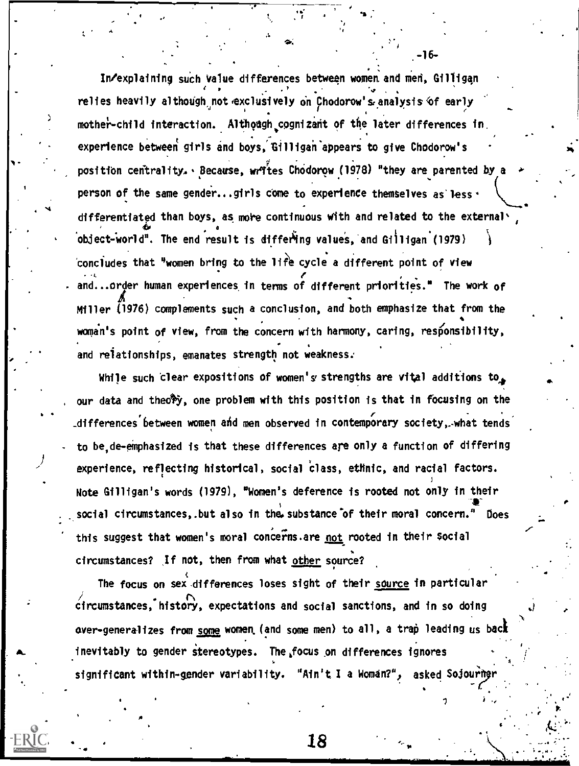: In/explaining such Value differences between women. and men, Gi lligqn is a set of the set of the set of the set of the set of the set of the set of the set of the set of the set of  $\mathcal{N}$ . .4 \* relies heavily although<sub>,</sub> not <sub>'</sub>exclusively on Chodorow's analysis of early , .  $\mathcal{F}$  and  $\mathcal{F}$ mother-child interaction. Although cognizant of the later differences in. experience between girls and boys, Gilligan appears to give Chodorow's position centrality. Because, writes Chodorow (1978) "they are parented by a person of the same gender...girls come to experience themselves as less  $\cdot$ differentiated than boys, as more continuous with and related to the external \ 4o object-world". The end result is differing values, and Gilligan (1979) } concludes that "women bring to the life cycle a different point of view . and...order human experiences in terms of different priorities." The work of Miller (1976) complements such a conclusion, and both emphasize that from the woman's point of view, from the concern with harmony, caring, responsibility, and relationships, emanates strength not weakness:

While such clear expositions of women's strengths are vital additions to. our data and theo<sup>sp</sup>y, one problem with this position is that in focusing on the \_differences between women mid men observed in contemporary society,. -what tends to be de-emphasized is that these differences are only a function of differing experience, reflecting historical, social class, ethnic, and racial factors. J Note Gilligan's words (1979), "Women's deference is rooted not only in their .ueir<br>.≹<br>. social circumstances,.but also in the substance of their moral concern." Does this suggest that women's moral concerns are not rooted in their social circumstances? If not, then from what other source?

.

The focus on sex differences loses sight of their source in particular circumstances, history, expectations and social sanctions, and in so doing over-generalizes from s<u>ome</u> women (and some men) to all, a trap leading us back inevitably to gender stereotypes. The focus on differences ignores , significant within-gender variability. "Ain't I a Woman?", asked Sojourney

-16-

'

- 18 and 18 and 18 and 18  $\sim$  18 and 18  $\sim$  18

 $\mathbf{v}$ 

I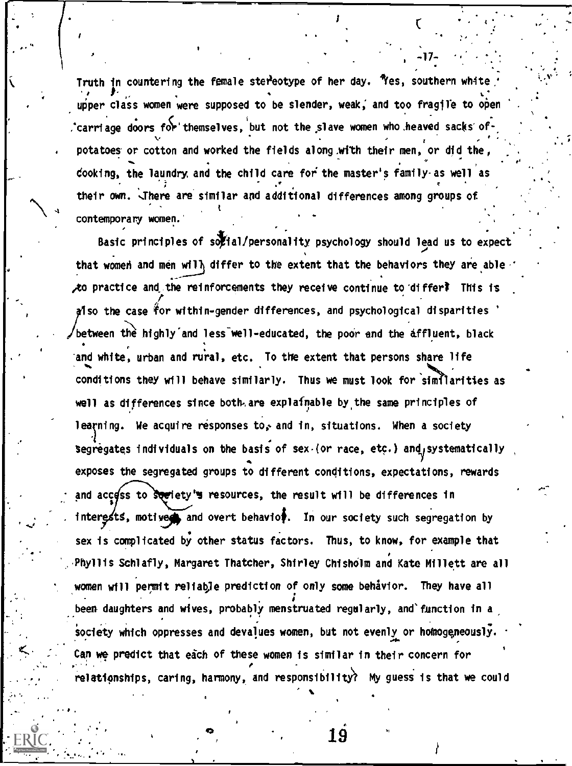Truth in countering the female stereotype of her day. "Yes, southern white Truth in countering the female stereotype of her day. Yes, southern whate<br>| per class women were supposed to be slender, weak, and too fragile to open 'carriage doors 40.themselves, i but not the .slave women who.heaved sacks' of-, . . . . マート・コーヒー きょうしょう しょうしょう アイティング おおやま potatoes or cotton and worked the fields along with their men, or did the,  $\mathbf{r}$  $coloring$ , the laundry, and the child care for the master's family-as well as . In the contract of the contract of the contract of the contract of the contract of the contract of the contract of the contract of the contract of the contract of the contract of the contract of the contract of the cont . their own. There are similar and additional differences among groups of  $\qquad$  $\mathbf{a}$  the contract of  $\mathbf{b}$  the contract of  $\mathbf{b}$ contemporary women.  $\bullet$  4  $\bullet$  4  $\bullet$ .

 $\bullet$  , and the set of  $\bullet$ 

0. <sup>P</sup> I

,

 $\mathbf{C}$  and  $\mathbf{C}$ 

-17-

a

t

,

 $\mathcal{L}_\mathbf{A}$ 

Basic principles of solial/personality psychology should lead us to expect that women and men will differ to the extent that the behaviors they are able to practice and the reinforcements they receive continue to differ? This is also the case for within-gender differences, and psychological disparities  $\,$ between the highly and less well-educated, the poor and the affluent, black and white, urban and rural, etc. To the extent that persons share life conditions they will behave similarly. Thus we must look for similarities as well as differences since both.are explainable by.the same principles of learning. We acquire responses to, and in, situations. When a society segregates individuals on the basis of sex (or race, etc.) and systematically exposes the segregated groups to different conditions, expectations, rewards and access to society's resources, the result will be differences in interests, motived and overt behavior. In our society such segregation by sex is complicated by other status factors. Thus, to know, for example that Phyllis Schlafly, Margaret Thatcher, Shirley Chisholm and Kate Millett are all women will permit reliable prediction of only some behavior. They have all . ; been daughters and wives, probably menstruated regularly, and'function in a, society which oppresses and devalues women, but not evenly or homogeneously. Can we predict that each of these women is similar in their concern for relationships, caring, harmony, and responsibility? My guess is that we could

 $\bullet$ ,  $\bullet$  19  $\bullet$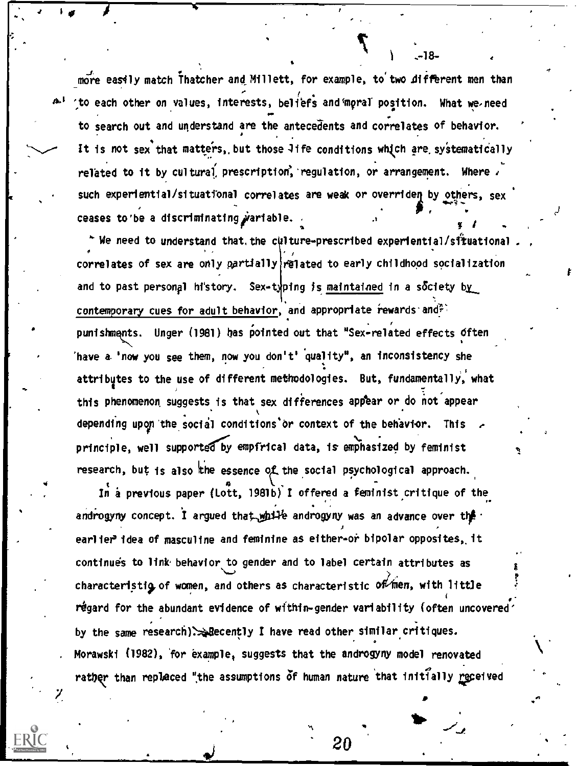more easily match Thatcher and Millett, for example, to two different men than to each other on values, interests, beliefs and moral position. What we need to search out and understand are the antecedents and correlates of behavior. It is not sex that matters, but those Jife conditions which are systematically related to it by cultural prescription, regulation, or arrangement. Where  $i$ such experiential/situational correlates are weak or overriden by others, sex . ceases to be a discriminating  $\dot{\rho}$  ariable. w **L**earn Control

A

 $*$  We need to understand that, the culture-prescribed experiential/situational correlates of sex are only partially related to early childhood socialization and to past personal history. Sex-typing is maintained in a society by contemporary cues for adult behavior, and appropriate rewards and<sup>2</sup> punishments. Unger (1981) has pointed out that "Sex-related effects often 'have a. 'now you see them, now you don't' quality", an inconsistency she attributes to the use of different methodologies. But, fundamentally, what this phenomenon suggests is that sex differences appear or do not appear depending upon the social conditions or context of the behavior. This principle, well supported by empfrical data, is emphasized by feminist research, but is also the essence of the social psychological approach.

In a previous paper (Lott, 1981b) I offered a feminist critique of the androgyny concept. I argued that while androgyny was an advance over the earlier'idea of masculine and feminine as either-or bipolar opposites, it continues to link behavior to gender and to label certain attributes as continues to link behavior to gender and to label certain attributes as<br>characteristig of women, and others as characteristic of men, with little regard for the abundant evidence of within-gender variability (often uncovered by the same research)`4Becently I have read other similar critiques. Morawski (1982), for example, suggests that the androgyny model renovated rather than replaced "the assumptions of human nature that initially received

 $20$ 

**a** a strong and

4

-18-

 $\blacksquare$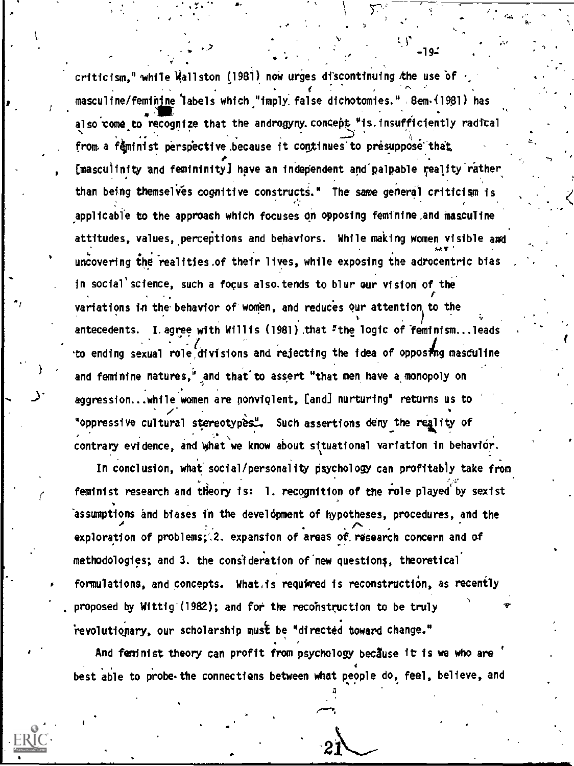criticism," while Wallston (1981) now urges discontinuing the use of masculine/feminine labels which "imply false dichotomies." 8em (1981) has also come to recognize that the androgyny concept "is insufficiently radical from a feminist perspective because it continues to presuppose that [masculinity and femininity] have an independent and palpable reality rather than being themselves cognitive constructs." The same general criticism is applicable to the approach which focuses on opposing feminine and masculine attitudes, values, perceptions and behaviors. While making women visible and uncovering the realities of their lives, while exposing the adrocentric bias in social science, such a focus also tends to blur our vision of the variations in the behavior of women, and reduces our attention to the I. agree with Willis (1981) that "the logic of feminism...leads antecedents. to ending sexual role divisions and rejecting the idea of opposing masculine and feminine natures," and that to assert "that men have a monopoly on aggression...while women are nonviolent, [and] nurturing" returns us to "oppressive cultural stereotypes". Such assertions deny the reality of contrary evidence, and what we know about situational variation in behavior.

In conclusion, what social/personality psychology can profitably take from feminist research and theory is: 1. recognition of the role played by sexist assumptions and biases in the development of hypotheses, procedures, and the exploration of problems; 2. expansion of areas of research concern and of methodologies; and 3. the consideration of new questions, theoretical formulations, and concepts. What is required is reconstruction, as recently proposed by Wittig (1982); and for the reconstruction to be truly revolutionary, our scholarship must be "directed toward change."

And feminist theory can profit from psychology because it is we who are best able to probe the connections between what people do, feel, believe, and

-94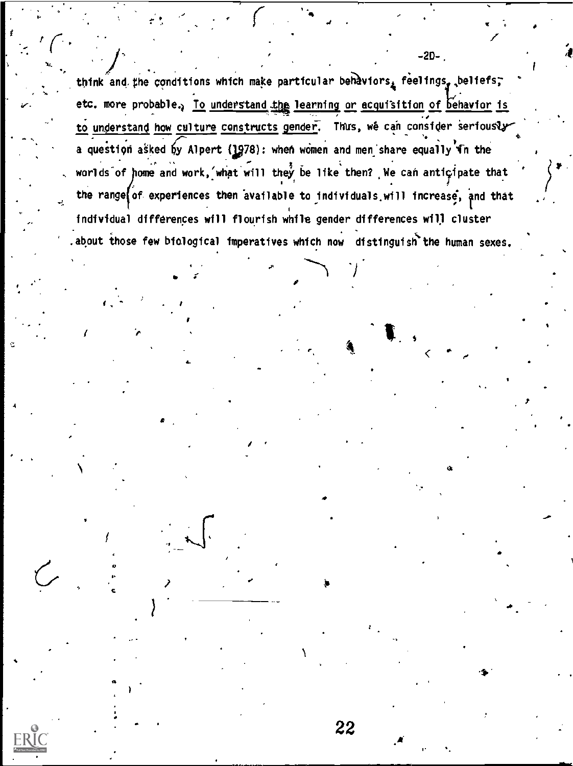think and the conditions which make particular behaviors, feelings, beliefs, etc. more probable. To understand the learning or acquisition of behavior is to understand how culture constructs gender. Thus, we can consider seriously a question asked by Alpert (1978): when women and men share equally in the worlds of home and work, what will they be like then? We can anticipate that the range of experiences then available to individuals will increase, and that individual differences will flourish while gender differences will cluster .about those few biological imperatives which now distinguish the human sexes.

22

 $-2D-$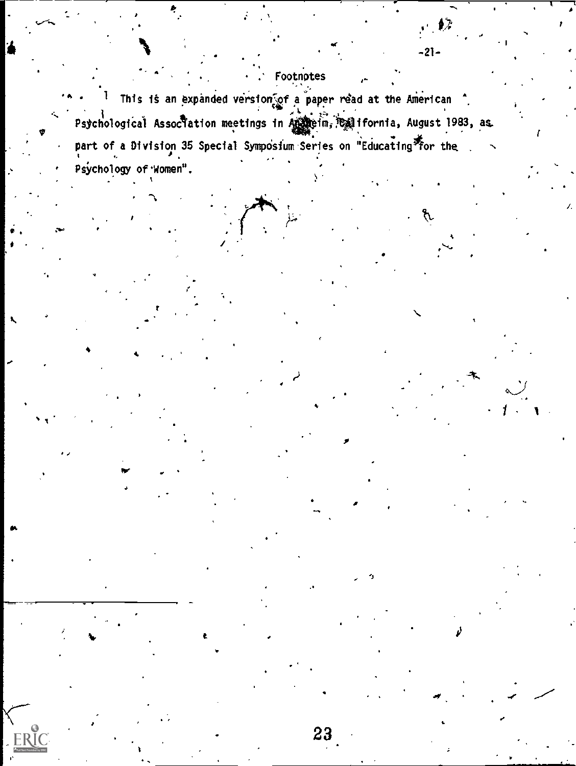## Footnotes

 $\frac{1}{2}$ 

 $-21-$ 

<sup>1</sup> This is an expanded version of a paper read at the American <sup>^</sup> Psychological Assoctation meetings in Andreim, California, August 1983, as part of a Division 35 Special Symposium Series on "Educating for the Psychology of Women".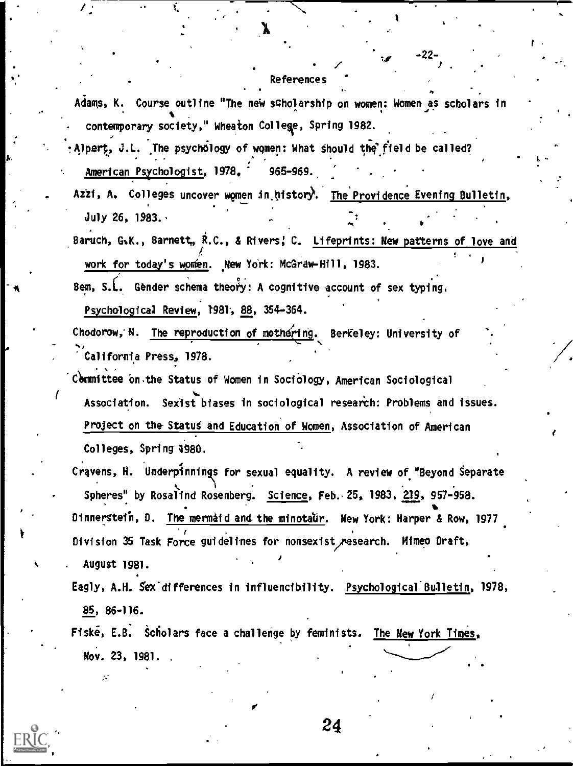## References

 $\mathscr{C}$  and  $\mathscr{C}$ 

-22-

Adams, K. Course outline "The new scholarship on women: Women as scholars in . contemporary society," Wheaton Colley, Spring 1982.

Alpert, J.L. The psychology of women: What should the field be called? American Psychologist, 1978. 965-969.

. .

 $\mathcal{L}^{(1)}$ 

Azzi, A. Colleges uncover women in history. The Providence Evening Bulletin, July 26, 1983.

Baruch, G.K., Barnett, R.C., & Rivers; C. Lifeprints: New patterns of love and work for today's women. New York: McGraw-Hill, 1983.

Bem, S.L. Gender schema theory: A cognitive account of sex typing.

Psychological Review, 1981, 88, 354-364.

k.

 $\sqrt{\frac{1}{2} \cdot \frac{1}{2}}$ 

.

Chodorow, N. The reproduction of mothering. Berkeley: University of California Press, 1978.

Chmmittee bn.the Status of Women in SociOlogy, American Sociological Association. Sexist biases in sociological research: Problems and issues. Project on the Status and Education of Women, Association of American Colleges, Spring 4980.

Cravens, H. Underpinnings for sexual equality. A review of "Beyond Separate Spheres" by Rosalind Rosenberg. Science, Feb. 25, 1983, 219, 957-958. Dinnerstein, D. The mermaid and the minotaur. New York: Harper & Row, 1977 r Division 35 Task Force guidelines for nonsexist research. Mimeo Draft, . August 1981.

Eagly, A.H. Sex differences in influencibility. Psychological Bulletin, 1978, 85, 86-116.

Fiske, E.B. Scholars face a challenge by feminists. The New York Times, Nov. 23, 1981.

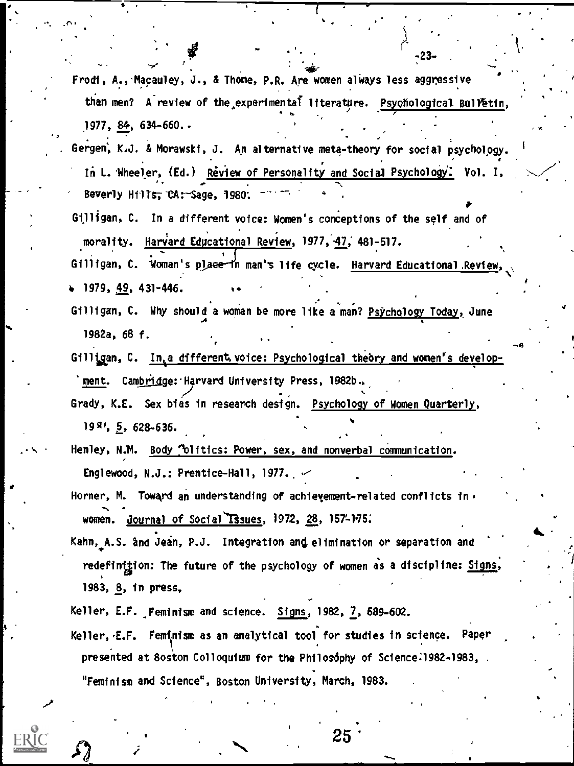Frodi, A., Macauley, J., & Thome, P.R. Are women always less aggressive than men? A review of the experimental literature. Psychological Bulletin<br>https://www.com/statestick.html 1977, 84, 634-660..

,  $-23$  -  $-$ 

- Gergen; K.J. & Morawski, J. An alternative meta-theory for social psychology. In L. Wheeler, (Ed.) Review of Personality and Social Psychology: Vol. I, Beverly Hills, CA: - Sage, 1980:
- Gilligan, C. In a different voice: Women's conceptions of the self and of morality. Harvard Educational Review, 1977, 47, 481-517.

Gilligan, C. Woman's place in man's life cycle. Harvard Educational Review,  $+ 1979, 49, 431 - 446.$ 

- $\bullet$  , and a set of the set of the set of the set of the set of the set of the set of the set of the set of the set of the set of the set of the set of the set of the set of the set of the set of the set of the set of the Gilligan, C. Why should a woman be more like a man? <u>Psychology Today,</u> June 1982a, 68 f. .
- Gilligan, C. Inta different voice: Psychological theory and women's development. Camb<u>rid</u>ge: Harvard University Press, 1982b..<sup>.</sup>
- Grady, K.E. Sex bias in research design. Psychology of Women Quarterly, 19<sup>8</sup>', 5, 628-636.
- Henley, N.M. Body "blitics: Power, sex, and nonverbal communication. Englewood, N.J.: Prentice-Hall, 1977.  $\sim$
- Horner, M. Toward an understanding of achievement-related conflicts in  $\epsilon$ women. Journal of Social Issues, 1972, 28, 157-175.
- Kahn, A.S. and Jean, P.J. Integration and elimination or separation and redefinition: The future of the psychology of women as a discipline: Signs, 1983, 8, in press,
- Keller, E.F. Feminism and science. Signs, 1982, 7, 589-602.
- Keller, E.F. Feminism as an analytical tool for studies in science. Paper presented at 8oston Colloquium for the Philosophy of Science:1982-1983, "Feminism and Science", Boston University: March, 1983.

 $25 \cdot 100$ 

4'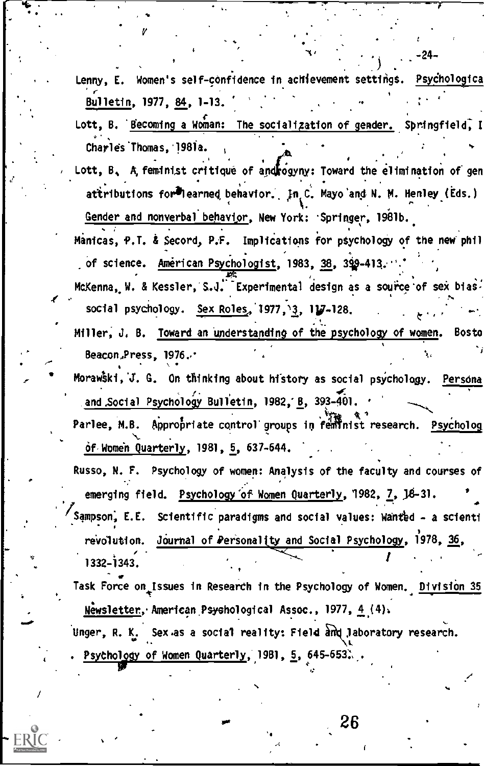Lenny, E. Women's self-confidence in achievement settings. Psychologica Bulletin, 1977, 84, 1-13.

-24

- Lott, B. Becoming a Woman: The socialization of gender. Springfield, I Charles Thomas, 1981a.
- Lott, B. A, feminist critique of androgyny: Toward the elimination of gen attributions for learned behavior. In C. Mayo and N. M. Henley (Eds.) Gender and nonverbal behavior, New York: Springer, 1981b.

Manicas, P.T. & Secord, P.F. Implications for psychology of the new phil of science. Américan Psychologist, 1983, 38, 399-413.

McKenna, W. & Kessler, S.J. Experimental design as a source of sex bias. social psychology. Sex Roles, 1977, 3, 17-128.

Miller, J. B. Toward an understanding of the psychology of women. **Bosto** Beacon, Press, 1976.

Morawski, J. G. On thinking about history as social psychology. Persona and Social Psychology Bulletin, 1982, B, 393-401.

Parlee, M.B. Appropriate control groups in feminist research. Psycholog of Women Quarterly, 1981, 5, 637-644.

Russo, N. F. Psychology of women: Analysis of the faculty and courses of emerging field. Psychology of Women Quarterly, 1982, 7, 16-31. Sampson, E.E. Scientific paradigms and social values: Wanted - a scienti revolution. Journal of Personality and Social Psychology, 1978, 36, 1332-1343.

Task Force on Issues in Research in the Psychology of Women. Division 35 Newsletter, American Psychological Assoc., 1977, 4 (4).

Unger, R. K. Sex as a social reality: Field and laboratory research.

Psychology of Women Quarterly, 19B1, <u>5</u>, 645–653.

26